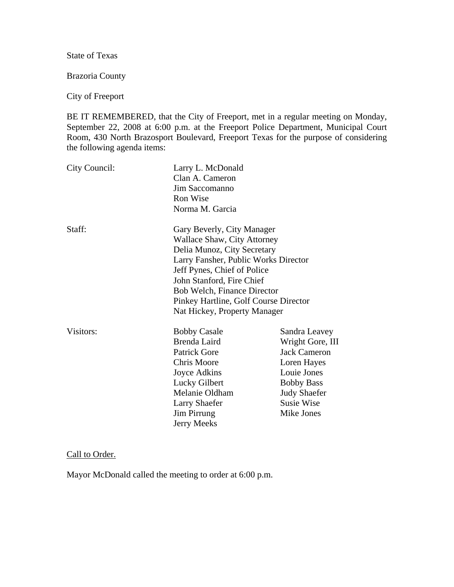State of Texas

Brazoria County

## City of Freeport

BE IT REMEMBERED, that the City of Freeport, met in a regular meeting on Monday, September 22, 2008 at 6:00 p.m. at the Freeport Police Department, Municipal Court Room, 430 North Brazosport Boulevard, Freeport Texas for the purpose of considering the following agenda items:

| City Council: | Larry L. McDonald<br>Clan A. Cameron<br>Jim Saccomanno<br>Ron Wise<br>Norma M. Garcia                                                                                                                                                                                                                       |                                                                                                                                                                |
|---------------|-------------------------------------------------------------------------------------------------------------------------------------------------------------------------------------------------------------------------------------------------------------------------------------------------------------|----------------------------------------------------------------------------------------------------------------------------------------------------------------|
| Staff:        | Gary Beverly, City Manager<br><b>Wallace Shaw, City Attorney</b><br>Delia Munoz, City Secretary<br>Larry Fansher, Public Works Director<br>Jeff Pynes, Chief of Police<br>John Stanford, Fire Chief<br>Bob Welch, Finance Director<br>Pinkey Hartline, Golf Course Director<br>Nat Hickey, Property Manager |                                                                                                                                                                |
| Visitors:     | <b>Bobby Casale</b><br><b>Brenda Laird</b><br><b>Patrick Gore</b><br><b>Chris Moore</b><br>Joyce Adkins<br>Lucky Gilbert<br>Melanie Oldham<br><b>Larry Shaefer</b><br>Jim Pirrung<br>Jerry Meeks                                                                                                            | Sandra Leavey<br>Wright Gore, III<br><b>Jack Cameron</b><br>Loren Hayes<br>Louie Jones<br><b>Bobby Bass</b><br><b>Judy Shaefer</b><br>Susie Wise<br>Mike Jones |

## Call to Order.

Mayor McDonald called the meeting to order at 6:00 p.m.